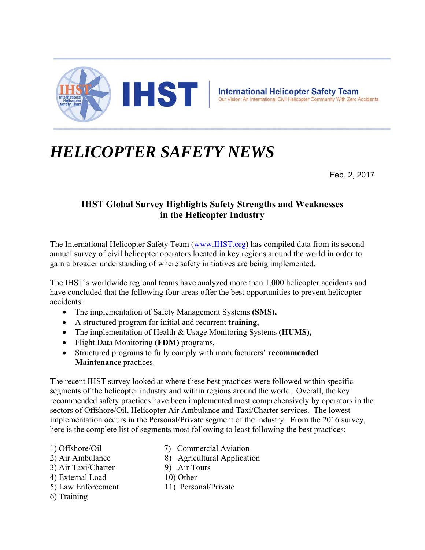

## *HELICOPTER SAFETY NEWS*

Feb. 2, 2017

## **IHST Global Survey Highlights Safety Strengths and Weaknesses in the Helicopter Industry**

The International Helicopter Safety Team (www.IHST.org) has compiled data from its second annual survey of civil helicopter operators located in key regions around the world in order to gain a broader understanding of where safety initiatives are being implemented.

The IHST's worldwide regional teams have analyzed more than 1,000 helicopter accidents and have concluded that the following four areas offer the best opportunities to prevent helicopter accidents:

- The implementation of Safety Management Systems **(SMS),**
- A structured program for initial and recurrent **training**,
- The implementation of Health & Usage Monitoring Systems **(HUMS),**
- Flight Data Monitoring **(FDM)** programs,
- Structured programs to fully comply with manufacturers' **recommended Maintenance** practices.

The recent IHST survey looked at where these best practices were followed within specific segments of the helicopter industry and within regions around the world. Overall, the key recommended safety practices have been implemented most comprehensively by operators in the sectors of Offshore/Oil, Helicopter Air Ambulance and Taxi/Charter services. The lowest implementation occurs in the Personal/Private segment of the industry. From the 2016 survey, here is the complete list of segments most following to least following the best practices:

- 
- 1) Offshore/Oil 7) Commercial Aviation
- 2) Air Ambulance 8) Agricultural Application
- 3) Air Taxi/Charter 9) Air Tours
- 4) External Load 10) Other
- 
- 
- 6) Training
- 5) Law Enforcement 11) Personal/Private